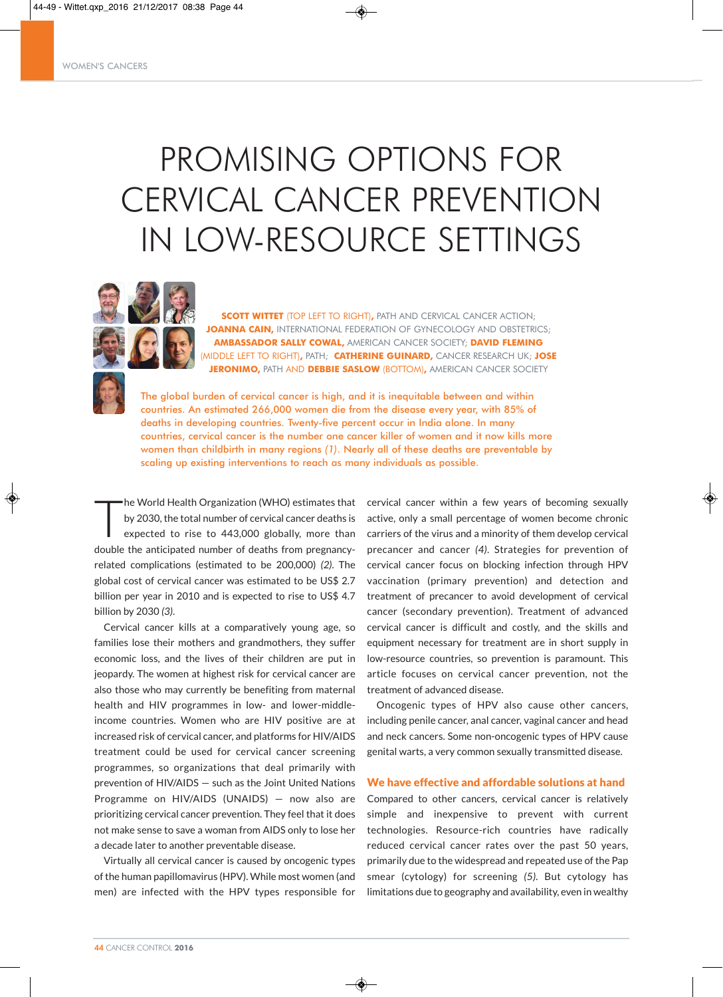# PROMISING OPTIONS FOR CERVICAL CANCER PREVENTION IN LOW-RESOURCE SETTINGS



**SCOTT WITTET** (TOP LEFT TO RIGHT)**,** PATH AND CERVICAL CANCER ACTION; **JOANNA CAIN,** INTERNATIONAL FEDERATION OF GYNECOLOGY AND OBSTETRICS; **AMBASSADOR SALLY COWAL,** AMERICAN CANCER SOCIETY; **DAVID FLEMING** (MIDDLE LEFT TO RIGHT)**,** PATH; **CATHERINE GUINARD,** CANCER RESEARCH UK; **JOSE JERONIMO,** PATH AND **DEBBIE SASLOW** (BOTTOM)**,** AMERICAN CANCER SOCIETY

The global burden of cervical cancer is high, and it is inequitable between and within countries. An estimated 266,000 women die from the disease every year, with 85% of deaths in developing countries. Twenty-five percent occur in India alone. In many countries, cervical cancer is the number one cancer killer of women and it now kills more women than childbirth in many regions *(1)*. Nearly all of these deaths are preventable by scaling up existing interventions to reach as many individuals as possible.

T he World Health Organization (WHO) estimates that by 2030, the total number of cervical cancer deaths is expected to rise to 443,000 globally, more than double the anticipated number of deaths from pregnancyrelated complications (estimated to be 200,000) *(2)*. The global cost of cervical cancer was estimated to be US\$ 2.7 billion per year in 2010 and is expected to rise to US\$ 4.7 billion by 2030 *(3)*.

Cervical cancer kills at a comparatively young age, so families lose their mothers and grandmothers, they suffer economic loss, and the lives of their children are put in jeopardy. The women at highest risk for cervical cancer are also those who may currently be benefiting from maternal health and HIV programmes in low- and lower-middleincome countries. Women who are HIV positive are at increased risk of cervical cancer, and platforms for HIV/AIDS treatment could be used for cervical cancer screening programmes, so organizations that deal primarily with prevention of HIV/AIDS — such as the Joint United Nations Programme on HIV/AIDS (UNAIDS) — now also are prioritizing cervical cancer prevention. They feel that it does not make sense to save a woman from AIDS only to lose her a decade later to another preventable disease.

Virtually all cervical cancer is caused by oncogenic types of the human papillomavirus (HPV). While most women (and men) are infected with the HPV types responsible for

cervical cancer within a few years of becoming sexually active, only a small percentage of women become chronic carriers of the virus and a minority of them develop cervical precancer and cancer *(4)*. Strategies for prevention of cervical cancer focus on blocking infection through HPV vaccination (primary prevention) and detection and treatment of precancer to avoid development of cervical cancer (secondary prevention). Treatment of advanced cervical cancer is difficult and costly, and the skills and equipment necessary for treatment are in short supply in low-resource countries, so prevention is paramount. This article focuses on cervical cancer prevention, not the treatment of advanced disease.

Oncogenic types of HPV also cause other cancers, including penile cancer, anal cancer, vaginal cancer and head and neck cancers. Some non-oncogenic types of HPV cause genital warts, a very common sexually transmitted disease.

#### We have effective and affordable solutions at hand

Compared to other cancers, cervical cancer is relatively simple and inexpensive to prevent with current technologies. Resource-rich countries have radically reduced cervical cancer rates over the past 50 years, primarily due to the widespread and repeated use of the Pap smear (cytology) for screening *(5).* But cytology has limitations due to geography and availability, even in wealthy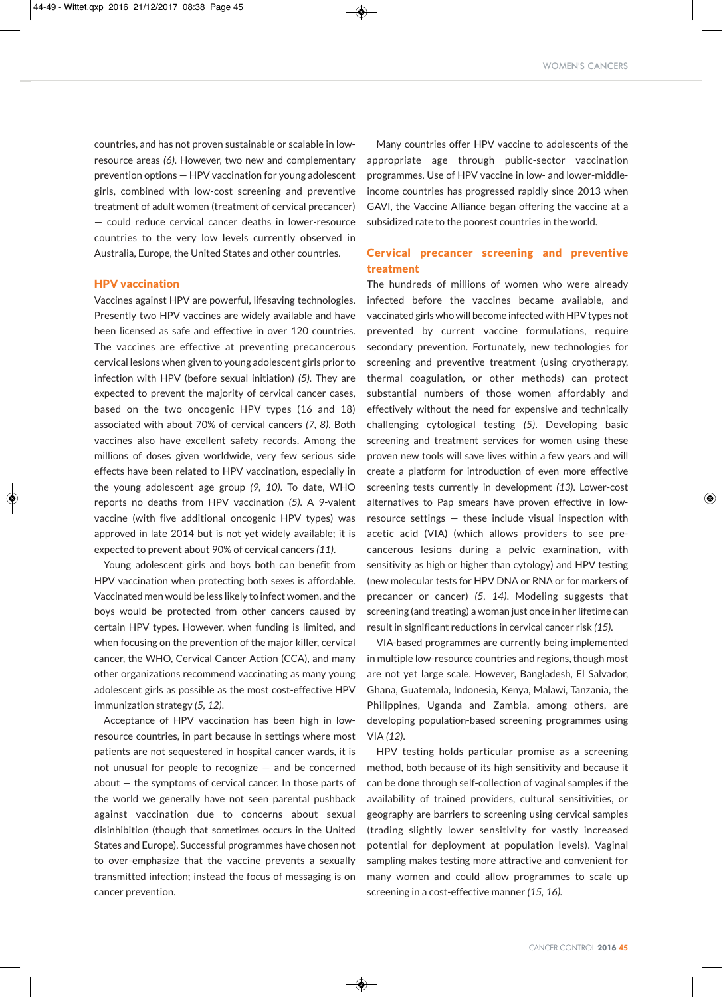countries, and has not proven sustainable or scalable in lowresource areas *(6)*. However, two new and complementary prevention options — HPV vaccination for young adolescent girls, combined with low-cost screening and preventive treatment of adult women (treatment of cervical precancer) — could reduce cervical cancer deaths in lower-resource countries to the very low levels currently observed in Australia, Europe, the United States and other countries.

#### HPV vaccination

Vaccines against HPV are powerful, lifesaving technologies. Presently two HPV vaccines are widely available and have been licensed as safe and effective in over 120 countries. The vaccines are effective at preventing precancerous cervical lesions when given to young adolescent girls prior to infection with HPV (before sexual initiation) *(5)*. They are expected to prevent the majority of cervical cancer cases, based on the two oncogenic HPV types (16 and 18) associated with about 70% of cervical cancers *(7, 8)*. Both vaccines also have excellent safety records. Among the millions of doses given worldwide, very few serious side effects have been related to HPV vaccination, especially in the young adolescent age group *(9, 10)*. To date, WHO reports no deaths from HPV vaccination *(5)*. A 9-valent vaccine (with five additional oncogenic HPV types) was approved in late 2014 but is not yet widely available; it is expected to prevent about 90% of cervical cancers *(11)*.

Young adolescent girls and boys both can benefit from HPV vaccination when protecting both sexes is affordable. Vaccinated men would be less likely to infect women, and the boys would be protected from other cancers caused by certain HPV types. However, when funding is limited, and when focusing on the prevention of the major killer, cervical cancer, the WHO, Cervical Cancer Action (CCA), and many other organizations recommend vaccinating as many young adolescent girls as possible as the most cost-effective HPV immunization strategy *(5, 12)*.

Acceptance of HPV vaccination has been high in lowresource countries, in part because in settings where most patients are not sequestered in hospital cancer wards, it is not unusual for people to recognize — and be concerned about — the symptoms of cervical cancer. In those parts of the world we generally have not seen parental pushback against vaccination due to concerns about sexual disinhibition (though that sometimes occurs in the United States and Europe). Successful programmes have chosen not to over-emphasize that the vaccine prevents a sexually transmitted infection; instead the focus of messaging is on cancer prevention.

Many countries offer HPV vaccine to adolescents of the appropriate age through public-sector vaccination programmes. Use of HPV vaccine in low- and lower-middleincome countries has progressed rapidly since 2013 when GAVI, the Vaccine Alliance began offering the vaccine at a subsidized rate to the poorest countries in the world.

## Cervical precancer screening and preventive treatment

The hundreds of millions of women who were already infected before the vaccines became available, and vaccinated girls who will become infected with HPV types not prevented by current vaccine formulations, require secondary prevention. Fortunately, new technologies for screening and preventive treatment (using cryotherapy, thermal coagulation, or other methods) can protect substantial numbers of those women affordably and effectively without the need for expensive and technically challenging cytological testing *(5)*. Developing basic screening and treatment services for women using these proven new tools will save lives within a few years and will create a platform for introduction of even more effective screening tests currently in development *(13)*. Lower-cost alternatives to Pap smears have proven effective in lowresource settings — these include visual inspection with acetic acid (VIA) (which allows providers to see precancerous lesions during a pelvic examination, with sensitivity as high or higher than cytology) and HPV testing (new molecular tests for HPV DNA or RNA or for markers of precancer or cancer) *(5, 14)*. Modeling suggests that screening (and treating) a woman just once in her lifetime can result in significant reductions in cervical cancer risk *(15)*.

VIA-based programmes are currently being implemented in multiple low-resource countries and regions, though most are not yet large scale. However, Bangladesh, El Salvador, Ghana, Guatemala, Indonesia, Kenya, Malawi, Tanzania, the Philippines, Uganda and Zambia, among others, are developing population-based screening programmes using VIA *(12)*.

HPV testing holds particular promise as a screening method, both because of its high sensitivity and because it can be done through self-collection of vaginal samples if the availability of trained providers, cultural sensitivities, or geography are barriers to screening using cervical samples (trading slightly lower sensitivity for vastly increased potential for deployment at population levels). Vaginal sampling makes testing more attractive and convenient for many women and could allow programmes to scale up screening in a cost-effective manner *(15, 16).*

◈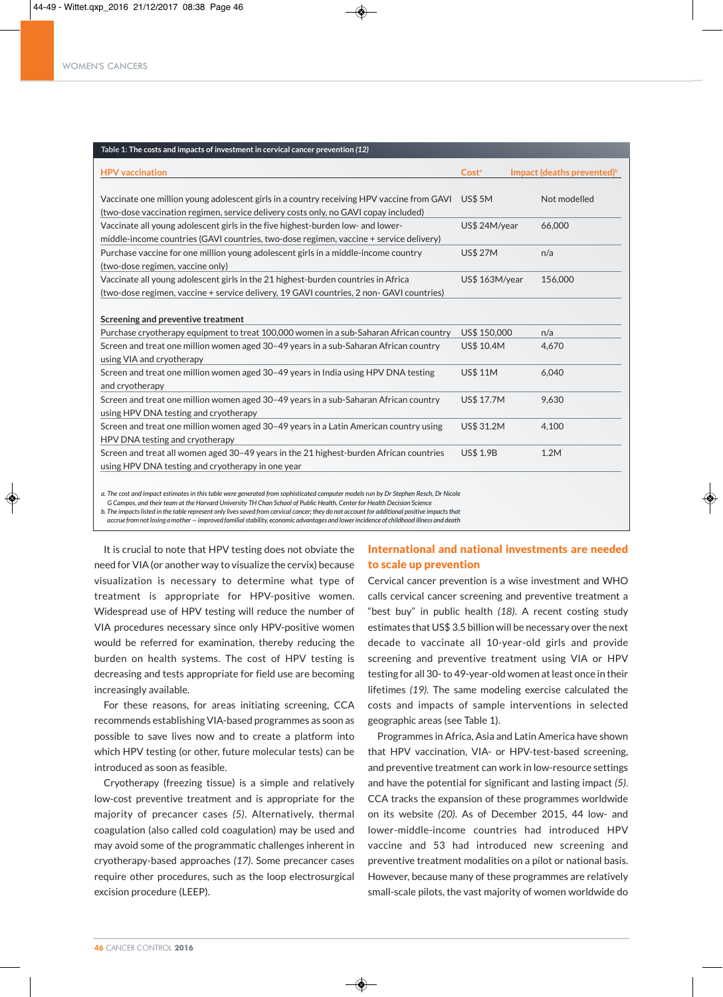| Table 1: The costs and impacts of investment in cervical cancer prevention (12)                                                                                                  |                   |                                        |
|----------------------------------------------------------------------------------------------------------------------------------------------------------------------------------|-------------------|----------------------------------------|
| <b>HPV</b> vaccination                                                                                                                                                           | Cost <sup>ª</sup> | Impact (deaths prevented) <sup>b</sup> |
| Vaccinate one million young adolescent girls in a country receiving HPV vaccine from GAVI<br>(two-dose vaccination regimen, service delivery costs only, no GAVI copay included) | <b>US\$ 5M</b>    | Not modelled                           |
| Vaccinate all young adolescent girls in the five highest-burden low- and lower-<br>middle-income countries (GAVI countries, two-dose regimen, vaccine + service delivery)        | US\$ 24M/year     | 66,000                                 |
| Purchase vaccine for one million young adolescent girls in a middle-income country<br>(two-dose regimen, vaccine only)                                                           | <b>US\$ 27M</b>   | n/a                                    |
| Vaccinate all young adolescent girls in the 21 highest-burden countries in Africa<br>(two-dose regimen, vaccine + service delivery, 19 GAVI countries, 2 non- GAVI countries)    | US\$ 163M/year    | 156,000                                |
| Screening and preventive treatment                                                                                                                                               |                   |                                        |
| Purchase cryotherapy equipment to treat 100,000 women in a sub-Saharan African country                                                                                           | US\$ 150,000      | n/a                                    |
| Screen and treat one million women aged 30-49 years in a sub-Saharan African country<br>using VIA and cryotherapy                                                                | US\$ 10.4M        | 4,670                                  |
| Screen and treat one million women aged 30-49 years in India using HPV DNA testing<br>and cryotherapy                                                                            | <b>US\$ 11M</b>   | 6.040                                  |
| Screen and treat one million women aged 30-49 years in a sub-Saharan African country<br>using HPV DNA testing and cryotherapy                                                    | <b>US\$ 17.7M</b> | 9,630                                  |
| Screen and treat one million women aged 30-49 years in a Latin American country using<br>HPV DNA testing and cryotherapy                                                         | US\$ 31.2M        | 4,100                                  |
| Screen and treat all women aged 30-49 years in the 21 highest-burden African countries<br>using HPV DNA testing and cryotherapy in one year                                      | <b>US\$ 1.9B</b>  | 1.2M                                   |
| a. The cost and impact estimates in this table were generated from sophisticated computer models run by Dr Stephen Resch, Dr Nicole                                              |                   |                                        |

G Campos, and their team at the Harvard University TH Chan School of Public Health, Center for Health Decision Science

b. The impacts listed in the table represent only lives saved from cervical cancer; they do not account for additional positive impacts that

accrue from not losing a mother - improved familial stability, economic advantages and lower incidence of childhood illness and death

It is crucial to note that HPV testing does not obviate the need for VIA (or another way to visualize the cervix) because visualization is necessary to determine what type of treatment is appropriate for HPV-positive women. Widespread use of HPV testing will reduce the number of VIA procedures necessary since only HPV-positive women would be referred for examination, thereby reducing the burden on health systems. The cost of HPV testing is decreasing and tests appropriate for field use are becoming increasingly available.

For these reasons, for areas initiating screening, CCA recommends establishing VIA-based programmes as soon as possible to save lives now and to create a platform into which HPV testing (or other, future molecular tests) can be introduced as soon as feasible.

Cryotherapy (freezing tissue) is a simple and relatively low-cost preventive treatment and is appropriate for the majority of precancer cases *(5)*. Alternatively, thermal coagulation (also called cold coagulation) may be used and may avoid some of the programmatic challenges inherent in cryotherapy-based approaches *(17)*. Some precancer cases require other procedures, such as the loop electrosurgical excision procedure (LEEP).

## International and national investments are needed to scale up prevention

Cervical cancer prevention is a wise investment and WHO calls cervical cancer screening and preventive treatment a "best buy" in public health *(18)*. A recent costing study estimates that US\$ 3.5 billion will be necessary over the next decade to vaccinate all 10-year-old girls and provide screening and preventive treatment using VIA or HPV testing for all 30-to 49-year-old women at least once in their lifetimes *(19).* The same modeling exercise calculated the costs and impacts of sample interventions in selected geographic areas (see Table 1).

Programmes in Africa, Asia and Latin America have shown that HPV vaccination, VIA- or HPV-test-based screening, and preventive treatment can work in low-resource settings and have the potential for significant and lasting impact *(5)*. CCA tracks the expansion of these programmes worldwide on its website *(20)*. As of December 2015, 44 low- and lower-middle-income countries had introduced HPV vaccine and 53 had introduced new screening and preventive treatment modalities on a pilot or national basis. However, because many of these programmes are relatively small-scale pilots, the vast majority of women worldwide do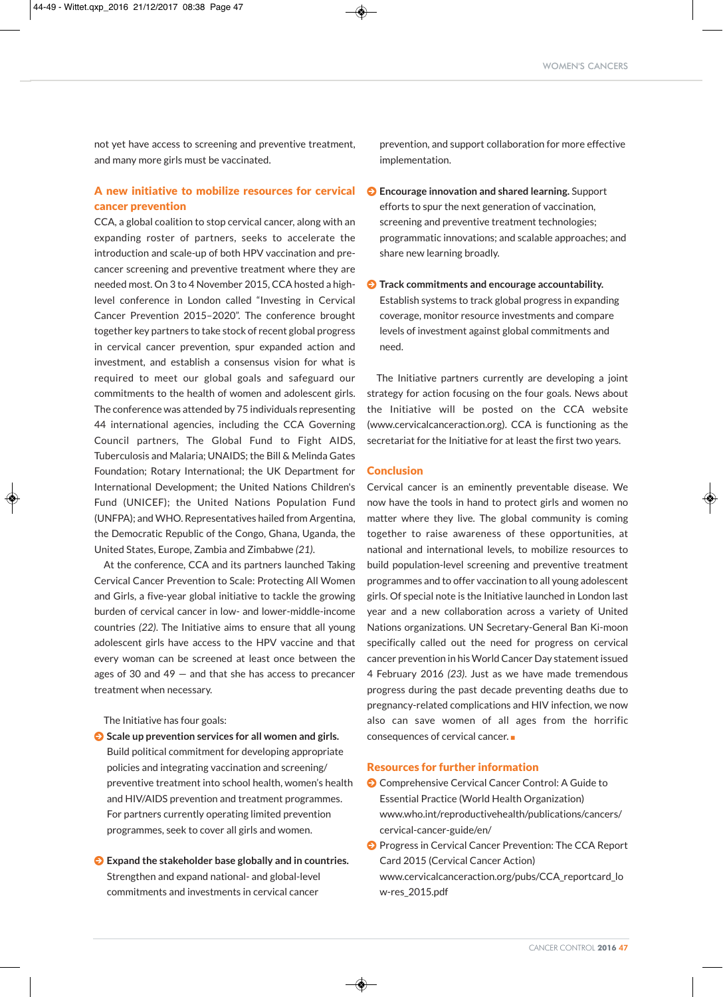not yet have access to screening and preventive treatment, and many more girls must be vaccinated.

## A new initiative to mobilize resources for cervical cancer prevention

CCA, a global coalition to stop cervical cancer, along with an expanding roster of partners, seeks to accelerate the introduction and scale-up of both HPV vaccination and precancer screening and preventive treatment where they are needed most. On 3 to 4 November 2015, CCA hosted a highlevel conference in London called "Investing in Cervical Cancer Prevention 2015–2020". The conference brought together key partners to take stock of recent global progress in cervical cancer prevention, spur expanded action and investment, and establish a consensus vision for what is required to meet our global goals and safeguard our commitments to the health of women and adolescent girls. The conference was attended by 75 individuals representing 44 international agencies, including the CCA Governing Council partners, The Global Fund to Fight AIDS, Tuberculosis and Malaria; UNAIDS; the Bill & Melinda Gates Foundation; Rotary International; the UK Department for International Development; the United Nations Children's Fund (UNICEF); the United Nations Population Fund (UNFPA); and WHO. Representatives hailed from Argentina, the Democratic Republic of the Congo, Ghana, Uganda, the United States, Europe, Zambia and Zimbabwe *(21)*.

At the conference, CCA and its partners launched Taking Cervical Cancer Prevention to Scale: Protecting All Women and Girls, a five-year global initiative to tackle the growing burden of cervical cancer in low- and lower-middle-income countries *(22)*. The Initiative aims to ensure that all young adolescent girls have access to the HPV vaccine and that every woman can be screened at least once between the ages of 30 and 49 — and that she has access to precancer treatment when necessary.

The Initiative has four goals:

J **Scale up prevention services for all women and girls.** Build political commitment for developing appropriate policies and integrating vaccination and screening/ preventive treatment into school health, women's health and HIV/AIDS prevention and treatment programmes. For partners currently operating limited prevention programmes, seek to cover all girls and women.

J **Expand the stakeholder base globally and in countries.** Strengthen and expand national- and global-level commitments and investments in cervical cancer

prevention, and support collaboration for more effective implementation.

- J **Encourage innovation and shared learning.** Support efforts to spur the next generation of vaccination, screening and preventive treatment technologies; programmatic innovations; and scalable approaches; and share new learning broadly.
- J **Track commitments and encourage accountability.** Establish systems to track global progress in expanding coverage, monitor resource investments and compare levels of investment against global commitments and need.

The Initiative partners currently are developing a joint strategy for action focusing on the four goals. News about the Initiative will be posted on the CCA website (www.cervicalcanceraction.org). CCA is functioning as the secretariat for the Initiative for at least the first two years.

## **Conclusion**

Cervical cancer is an eminently preventable disease. We now have the tools in hand to protect girls and women no matter where they live. The global community is coming together to raise awareness of these opportunities, at national and international levels, to mobilize resources to build population-level screening and preventive treatment programmes and to offer vaccination to all young adolescent girls. Of special note is the Initiative launched in London last year and a new collaboration across a variety of United Nations organizations. UN Secretary-General Ban Ki-moon specifically called out the need for progress on cervical cancer prevention in his World Cancer Day statement issued 4 February 2016 *(23)*. Just as we have made tremendous progress during the past decade preventing deaths due to pregnancy-related complications and HIV infection, we now also can save women of all ages from the horrific consequences of cervical cancer.

### Resources for further information

- **O** Comprehensive Cervical Cancer Control: A Guide to Essential Practice (World Health Organization) www.who.int/reproductivehealth/publications/cancers/ cervical-cancer-guide/en/
- **O** Progress in Cervical Cancer Prevention: The CCA Report Card 2015 (Cervical Cancer Action) www.cervicalcanceraction.org/pubs/CCA\_reportcard\_lo w-res\_2015.pdf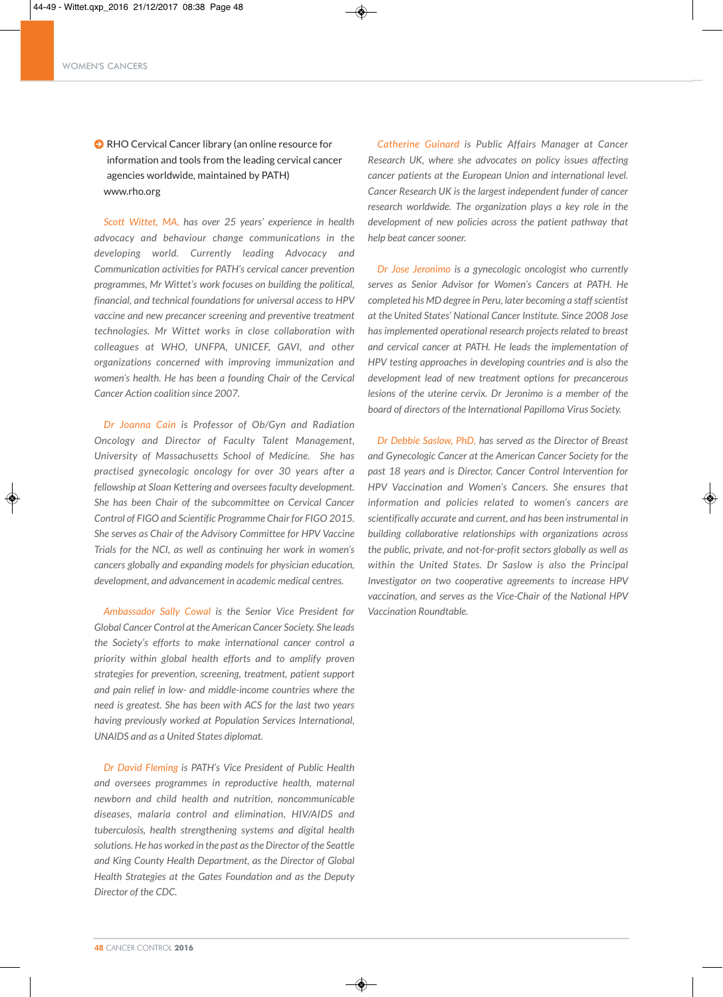**O** RHO Cervical Cancer library (an online resource for information and tools from the leading cervical cancer agencies worldwide, maintained by PATH) www.rho.org

*Scott Wittet, MA, has over 25 years' experience in health advocacy and behaviour change communications in the developing world. Currently leading Advocacy and Communication activities for PATH's cervical cancer prevention programmes, Mr Wittet's work focuses on building the political, financial, and technical foundations for universal access to HPV vaccine and new precancer screening and preventive treatment technologies. Mr Wittet works in close collaboration with colleagues at WHO, UNFPA, UNICEF, GAVI, and other organizations concerned with improving immunization and women's health. He has been a founding Chair of the Cervical Cancer Action coalition since 2007.*

*Dr Joanna Cain is Professor of Ob/Gyn and Radiation Oncology and Director of Faculty Talent Management, University of Massachusetts School of Medicine. She has practised gynecologic oncology for over 30 years after a fellowship at Sloan Kettering and oversees faculty development. She has been Chair of the subcommittee on Cervical Cancer Control of FIGO and Scientific Programme Chair for FIGO 2015. She serves as Chair of the Advisory Committee for HPV Vaccine Trials for the NCI, as well as continuing her work in women's cancers globally and expanding models for physician education, development, and advancement in academic medical centres.*

*Ambassador Sally Cowal is the Senior Vice President for Global Cancer Control at the American Cancer Society. She leads the Society's efforts to make international cancer control a priority within global health efforts and to amplify proven strategies for prevention, screening, treatment, patient support and pain relief in low- and middle-income countries where the need is greatest. She has been with ACS for the last two years having previously worked at Population Services International, UNAIDS and as a United States diplomat.*

*Dr David Fleming is PATH's Vice President of Public Health and oversees programmes in reproductive health, maternal newborn and child health and nutrition, noncommunicable diseases, malaria control and elimination, HIV/AIDS and tuberculosis, health strengthening systems and digital health solutions.He has worked in the past astheDirector ofthe Seattle and King County Health Department, as the Director of Global Health Strategies at the Gates Foundation and as the Deputy Director of the CDC.*

◈

*Catherine Guinard is Public Affairs Manager at Cancer Research UK, where she advocates on policy issues affecting cancer patients at the European Union and international level. Cancer Research UK is the largest independent funder of cancer research worldwide. The organization plays a key role in the development of new policies across the patient pathway that help beat cancer sooner.*

*Dr Jose Jeronimo is a gynecologic oncologist who currently serves as Senior Advisor for Women's Cancers at PATH. He completed his MD degree in Peru, later becoming a staffscientist at the United States' National Cancer Institute. Since 2008 Jose has implemented operational research projects related to breast and cervical cancer at PATH. He leads the implementation of HPV testing approaches in developing countries and is also the development lead of new treatment options for precancerous lesions of the uterine cervix. Dr Jeronimo is a member of the board of directors of the International Papilloma Virus Society.*

*Dr Debbie Saslow, PhD, has served as the Director of Breast and Gynecologic Cancer at the American Cancer Society for the past 18 years and is Director, Cancer Control Intervention for HPV Vaccination and Women's Cancers. She ensures that information and policies related to women's cancers are scientifically accurate and current, and has been instrumental in building collaborative relationships with organizations across the public, private, and not-for-profit sectors globally as well as within the United States. Dr Saslow is also the Principal Investigator on two cooperative agreements to increase HPV vaccination, and serves as the Vice-Chair of the National HPV Vaccination Roundtable.*